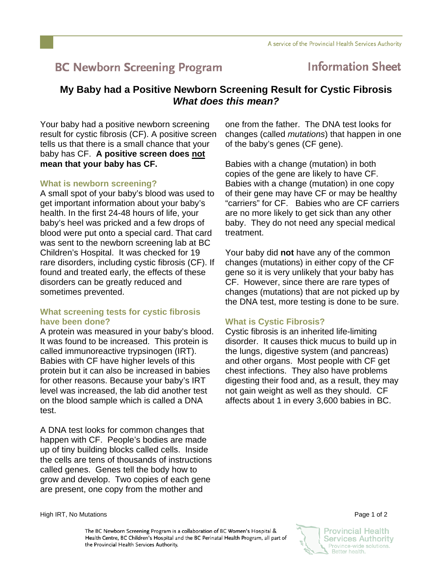# **BC Newborn Screening Program**

## **Information Sheet**

### **My Baby had a Positive Newborn Screening Result for Cystic Fibrosis**  *What does this mean?*

Your baby had a positive newborn screening result for cystic fibrosis (CF). A positive screen tells us that there is a small chance that your baby has CF. **A positive screen does not mean that your baby has CF.** 

#### **What is newborn screening?**

A small spot of your baby's blood was used to get important information about your baby's health. In the first 24-48 hours of life, your baby's heel was pricked and a few drops of blood were put onto a special card. That card was sent to the newborn screening lab at BC Children's Hospital. It was checked for 19 rare disorders, including cystic fibrosis (CF). If found and treated early, the effects of these disorders can be greatly reduced and sometimes prevented.

#### **What screening tests for cystic fibrosis have been done?**

A protein was measured in your baby's blood. It was found to be increased. This protein is called immunoreactive trypsinogen (IRT). Babies with CF have higher levels of this protein but it can also be increased in babies for other reasons. Because your baby's IRT level was increased, the lab did another test on the blood sample which is called a DNA test.

A DNA test looks for common changes that happen with CF. People's bodies are made up of tiny building blocks called cells. Inside the cells are tens of thousands of instructions called genes. Genes tell the body how to grow and develop. Two copies of each gene are present, one copy from the mother and

one from the father. The DNA test looks for changes (called *mutations*) that happen in one of the baby's genes (CF gene).

Babies with a change (mutation) in both copies of the gene are likely to have CF. Babies with a change (mutation) in one copy of their gene may have CF or may be healthy "carriers" for CF. Babies who are CF carriers are no more likely to get sick than any other baby. They do not need any special medical treatment.

Your baby did **not** have any of the common changes (mutations) in either copy of the CF gene so it is very unlikely that your baby has CF. However, since there are rare types of changes (mutations) that are not picked up by the DNA test, more testing is done to be sure.

#### **What is Cystic Fibrosis?**

Cystic fibrosis is an inherited life-limiting disorder. It causes thick mucus to build up in the lungs, digestive system (and pancreas) and other organs. Most people with CF get chest infections. They also have problems digesting their food and, as a result, they may not gain weight as well as they should. CF affects about 1 in every 3,600 babies in BC.

High IRT, No Mutations Page 1 of 2

The BC Newborn Screening Program is a collaboration of BC Women's Hospital & Health Centre, BC Children's Hospital and the BC Perinatal Health Program, all part of the Provincial Health Services Authority.



**Provincial Health Services Authority** Province-wide solutions. Better health.